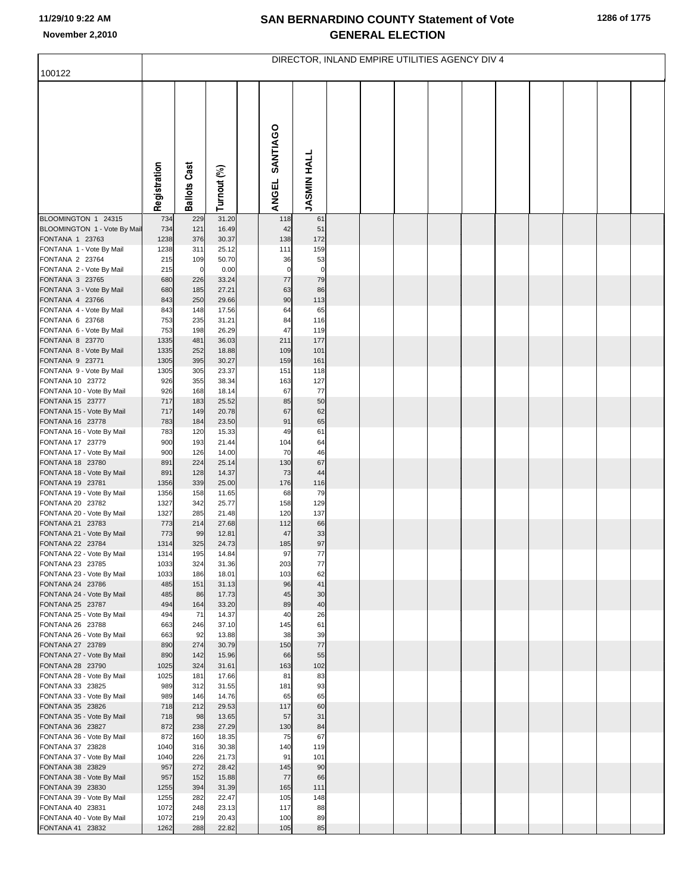## **SAN BERNARDINO COUNTY Statement of Vote November 2,2010 GENERAL ELECTION**

|                                               | DIRECTOR, INLAND EMPIRE UTILITIES AGENCY DIV 4 |                     |                |  |                          |                    |  |  |  |  |  |  |  |  |  |
|-----------------------------------------------|------------------------------------------------|---------------------|----------------|--|--------------------------|--------------------|--|--|--|--|--|--|--|--|--|
| 100122                                        |                                                |                     |                |  |                          |                    |  |  |  |  |  |  |  |  |  |
|                                               | Registration                                   | <b>Ballots Cast</b> | Turnout (%)    |  | SANTIAGO<br><b>ANGEL</b> | <b>JASMIN HALL</b> |  |  |  |  |  |  |  |  |  |
| BLOOMINGTON 1 24315                           | 734                                            | 229                 | 31.20          |  | 118                      | 61                 |  |  |  |  |  |  |  |  |  |
| BLOOMINGTON 1 - Vote By Mail                  | 734                                            | 121                 | 16.49          |  | 42                       | 51                 |  |  |  |  |  |  |  |  |  |
| FONTANA 1 23763<br>FONTANA 1 - Vote By Mail   | 1238<br>1238                                   | 376<br>311          | 30.37<br>25.12 |  | 138<br>111               | 172<br>159         |  |  |  |  |  |  |  |  |  |
| FONTANA 2 23764                               | 215                                            | 109                 | 50.70          |  | 36                       | 53                 |  |  |  |  |  |  |  |  |  |
| FONTANA 2 - Vote By Mail                      | 215                                            | $\mathbf 0$         | 0.00           |  | $\mathbf 0$              | $\overline{0}$     |  |  |  |  |  |  |  |  |  |
| FONTANA 3 23765                               | 680                                            | 226                 | 33.24          |  | 77                       | 79                 |  |  |  |  |  |  |  |  |  |
| FONTANA 3 - Vote By Mail<br>FONTANA 4 23766   | 680<br>843                                     | 185<br>250          | 27.21<br>29.66 |  | 63<br>90                 | 86<br>113          |  |  |  |  |  |  |  |  |  |
| FONTANA 4 - Vote By Mail                      | 843                                            | 148                 | 17.56          |  | 64                       | 65                 |  |  |  |  |  |  |  |  |  |
| FONTANA 6 23768                               | 753                                            | 235                 | 31.21          |  | 84                       | 116                |  |  |  |  |  |  |  |  |  |
| FONTANA 6 - Vote By Mail                      | 753                                            | 198                 | 26.29          |  | 47                       | 119                |  |  |  |  |  |  |  |  |  |
| FONTANA 8 23770                               | 1335<br>1335                                   | 481<br>252          | 36.03<br>18.88 |  | 211<br>109               | 177<br>101         |  |  |  |  |  |  |  |  |  |
| FONTANA 8 - Vote By Mail<br>FONTANA 9 23771   | 1305                                           | 395                 | 30.27          |  | 159                      | 161                |  |  |  |  |  |  |  |  |  |
| FONTANA 9 - Vote By Mail                      | 1305                                           | 305                 | 23.37          |  | 151                      | 118                |  |  |  |  |  |  |  |  |  |
| FONTANA 10 23772                              | 926                                            | 355                 | 38.34          |  | 163                      | 127                |  |  |  |  |  |  |  |  |  |
| FONTANA 10 - Vote By Mail                     | 926                                            | 168                 | 18.14          |  | 67                       | 77                 |  |  |  |  |  |  |  |  |  |
| FONTANA 15 23777<br>FONTANA 15 - Vote By Mail | 717<br>717                                     | 183<br>149          | 25.52<br>20.78 |  | 85<br>67                 | 50<br>62           |  |  |  |  |  |  |  |  |  |
| FONTANA 16 23778                              | 783                                            | 184                 | 23.50          |  | 91                       | 65                 |  |  |  |  |  |  |  |  |  |
| FONTANA 16 - Vote By Mail                     | 783                                            | 120                 | 15.33          |  | 49                       | 61                 |  |  |  |  |  |  |  |  |  |
| FONTANA 17 23779                              | 900                                            | 193                 | 21.44          |  | 104                      | 64                 |  |  |  |  |  |  |  |  |  |
| FONTANA 17 - Vote By Mail<br>FONTANA 18 23780 | 900<br>891                                     | 126<br>224          | 14.00<br>25.14 |  | 70<br>130                | 46<br>67           |  |  |  |  |  |  |  |  |  |
| FONTANA 18 - Vote By Mail                     | 891                                            | 128                 | 14.37          |  | 73                       | 44                 |  |  |  |  |  |  |  |  |  |
| FONTANA 19 23781                              | 1356                                           | 339                 | 25.00          |  | 176                      | 116                |  |  |  |  |  |  |  |  |  |
| FONTANA 19 - Vote By Mail                     | 1356                                           | 158                 | 11.65          |  | 68                       | 79                 |  |  |  |  |  |  |  |  |  |
| FONTANA 20 23782<br>FONTANA 20 - Vote By Mail | 1327<br>1327                                   | 342<br>285          | 25.77<br>21.48 |  | 158<br>120               | 129<br>137         |  |  |  |  |  |  |  |  |  |
| FONTANA 21 23783                              | 773                                            | 214                 | 27.68          |  | 112                      | 66                 |  |  |  |  |  |  |  |  |  |
| FONTANA 21 - Vote By Mail                     | 773                                            | 99                  | 12.81          |  | 47                       | 33                 |  |  |  |  |  |  |  |  |  |
| FONTANA 22 23784                              | 1314                                           | 325                 | 24.73          |  | 185                      | 97                 |  |  |  |  |  |  |  |  |  |
| FONTANA 22 - Vote By Mail<br>FONTANA 23 23785 | 1314<br>1033                                   | 195<br>324          | 14.84<br>31.36 |  | 97<br>203                | 77<br>$77$         |  |  |  |  |  |  |  |  |  |
| FONTANA 23 - Vote By Mail                     | 1033                                           | 186                 | 18.01          |  | 103                      | 62                 |  |  |  |  |  |  |  |  |  |
| FONTANA 24 23786                              | 485                                            | 151                 | 31.13          |  | 96                       | 41                 |  |  |  |  |  |  |  |  |  |
| FONTANA 24 - Vote By Mail                     | 485                                            | 86                  | 17.73          |  | 45                       | 30                 |  |  |  |  |  |  |  |  |  |
| FONTANA 25 23787<br>FONTANA 25 - Vote By Mail | 494<br>494                                     | 164<br>71           | 33.20<br>14.37 |  | 89<br>40                 | 40<br>26           |  |  |  |  |  |  |  |  |  |
| FONTANA 26 23788                              | 663                                            | 246                 | 37.10          |  | 145                      | 61                 |  |  |  |  |  |  |  |  |  |
| FONTANA 26 - Vote By Mail                     | 663                                            | 92                  | 13.88          |  | 38                       | 39                 |  |  |  |  |  |  |  |  |  |
| FONTANA 27 23789                              | 890                                            | 274                 | 30.79          |  | 150                      | 77                 |  |  |  |  |  |  |  |  |  |
| FONTANA 27 - Vote By Mail<br>FONTANA 28 23790 | 890<br>1025                                    | 142<br>324          | 15.96<br>31.61 |  | 66<br>163                | 55<br>102          |  |  |  |  |  |  |  |  |  |
| FONTANA 28 - Vote By Mail                     | 1025                                           | 181                 | 17.66          |  | 81                       | 83                 |  |  |  |  |  |  |  |  |  |
| FONTANA 33 23825                              | 989                                            | 312                 | 31.55          |  | 181                      | 93                 |  |  |  |  |  |  |  |  |  |
| FONTANA 33 - Vote By Mail                     | 989                                            | 146                 | 14.76          |  | 65                       | 65                 |  |  |  |  |  |  |  |  |  |
| FONTANA 35 23826<br>FONTANA 35 - Vote By Mail | 718<br>718                                     | 212<br>98           | 29.53<br>13.65 |  | 117<br>57                | 60<br>31           |  |  |  |  |  |  |  |  |  |
| FONTANA 36 23827                              | 872                                            | 238                 | 27.29          |  | 130                      | 84                 |  |  |  |  |  |  |  |  |  |
| FONTANA 36 - Vote By Mail                     | 872                                            | 160                 | 18.35          |  | 75                       | 67                 |  |  |  |  |  |  |  |  |  |
| FONTANA 37 23828                              | 1040                                           | 316                 | 30.38          |  | 140                      | 119                |  |  |  |  |  |  |  |  |  |
| FONTANA 37 - Vote By Mail<br>FONTANA 38 23829 | 1040<br>957                                    | 226<br>272          | 21.73<br>28.42 |  | 91<br>145                | 101<br>90          |  |  |  |  |  |  |  |  |  |
| FONTANA 38 - Vote By Mail                     | 957                                            | 152                 | 15.88          |  | 77                       | 66                 |  |  |  |  |  |  |  |  |  |
| FONTANA 39 23830                              | 1255                                           | 394                 | 31.39          |  | 165                      | 111                |  |  |  |  |  |  |  |  |  |
| FONTANA 39 - Vote By Mail                     | 1255                                           | 282                 | 22.47          |  | 105                      | 148                |  |  |  |  |  |  |  |  |  |
| FONTANA 40 23831<br>FONTANA 40 - Vote By Mail | 1072<br>1072                                   | 248<br>219          | 23.13<br>20.43 |  | 117<br>100               | 88<br>89           |  |  |  |  |  |  |  |  |  |
| FONTANA 41 23832                              | 1262                                           | 288                 | 22.82          |  | 105                      | 85                 |  |  |  |  |  |  |  |  |  |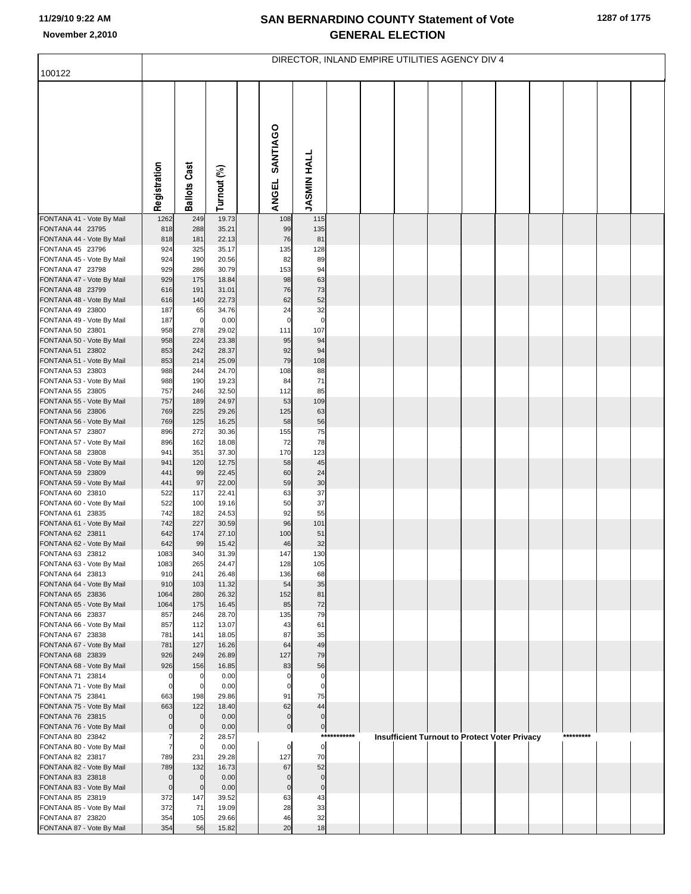## **SAN BERNARDINO COUNTY Statement of Vote November 2,2010 GENERAL ELECTION**

|                                               | DIRECTOR, INLAND EMPIRE UTILITIES AGENCY DIV 4 |                               |                |  |                            |                            |             |  |  |  |                                                      |  |  |           |  |
|-----------------------------------------------|------------------------------------------------|-------------------------------|----------------|--|----------------------------|----------------------------|-------------|--|--|--|------------------------------------------------------|--|--|-----------|--|
| 100122                                        |                                                |                               |                |  |                            |                            |             |  |  |  |                                                      |  |  |           |  |
|                                               | Registration                                   | <b>Ballots Cast</b>           | Turnout (%)    |  | SANTIAGO<br><b>ANGEL</b>   | <b>JASMIN HALL</b>         |             |  |  |  |                                                      |  |  |           |  |
| FONTANA 41 - Vote By Mail                     | 1262                                           | 249                           | 19.73          |  | 108                        | 115                        |             |  |  |  |                                                      |  |  |           |  |
| FONTANA 44 23795<br>FONTANA 44 - Vote By Mail | 818<br>818                                     | 288<br>181                    | 35.21<br>22.13 |  | 99<br>76                   | 135<br>81                  |             |  |  |  |                                                      |  |  |           |  |
| FONTANA 45 23796                              | 924                                            | 325                           | 35.17          |  | 135                        | 128                        |             |  |  |  |                                                      |  |  |           |  |
| FONTANA 45 - Vote By Mail                     | 924                                            | 190                           | 20.56          |  | 82                         | 89                         |             |  |  |  |                                                      |  |  |           |  |
| FONTANA 47 23798                              | 929                                            | 286                           | 30.79          |  | 153                        | 94                         |             |  |  |  |                                                      |  |  |           |  |
| FONTANA 47 - Vote By Mail<br>FONTANA 48 23799 | 929<br>616                                     | 175<br>191                    | 18.84<br>31.01 |  | 98<br>76                   | 63<br>73                   |             |  |  |  |                                                      |  |  |           |  |
| FONTANA 48 - Vote By Mail                     | 616                                            | 140                           | 22.73          |  | 62                         | 52                         |             |  |  |  |                                                      |  |  |           |  |
| FONTANA 49 23800                              | 187                                            | 65                            | 34.76          |  | 24                         | 32                         |             |  |  |  |                                                      |  |  |           |  |
| FONTANA 49 - Vote By Mail                     | 187                                            | $\mathbf 0$                   | 0.00           |  | $\mathbf 0$                | $\mathbf 0$                |             |  |  |  |                                                      |  |  |           |  |
| FONTANA 50 23801                              | 958                                            | 278<br>224                    | 29.02          |  | 111                        | 107                        |             |  |  |  |                                                      |  |  |           |  |
| FONTANA 50 - Vote By Mail<br>FONTANA 51 23802 | 958<br>853                                     | 242                           | 23.38<br>28.37 |  | 95<br>92                   | 94<br>94                   |             |  |  |  |                                                      |  |  |           |  |
| FONTANA 51 - Vote By Mail                     | 853                                            | 214                           | 25.09          |  | 79                         | 108                        |             |  |  |  |                                                      |  |  |           |  |
| FONTANA 53 23803                              | 988                                            | 244                           | 24.70          |  | 108                        | 88                         |             |  |  |  |                                                      |  |  |           |  |
| FONTANA 53 - Vote By Mail                     | 988                                            | 190                           | 19.23          |  | 84                         | 71                         |             |  |  |  |                                                      |  |  |           |  |
| FONTANA 55 23805<br>FONTANA 55 - Vote By Mail | 757<br>757                                     | 246<br>189                    | 32.50<br>24.97 |  | 112<br>53                  | 85<br>109                  |             |  |  |  |                                                      |  |  |           |  |
| FONTANA 56 23806                              | 769                                            | 225                           | 29.26          |  | 125                        | 63                         |             |  |  |  |                                                      |  |  |           |  |
| FONTANA 56 - Vote By Mail                     | 769                                            | 125                           | 16.25          |  | 58                         | 56                         |             |  |  |  |                                                      |  |  |           |  |
| FONTANA 57 23807                              | 896                                            | 272                           | 30.36          |  | 155                        | 75<br>78                   |             |  |  |  |                                                      |  |  |           |  |
| FONTANA 57 - Vote By Mail<br>FONTANA 58 23808 | 896<br>941                                     | 162<br>351                    | 18.08<br>37.30 |  | 72<br>170                  | 123                        |             |  |  |  |                                                      |  |  |           |  |
| FONTANA 58 - Vote By Mail                     | 941                                            | 120                           | 12.75          |  | 58                         | 45                         |             |  |  |  |                                                      |  |  |           |  |
| FONTANA 59 23809                              | 441                                            | 99                            | 22.45          |  | 60                         | 24                         |             |  |  |  |                                                      |  |  |           |  |
| FONTANA 59 - Vote By Mail<br>FONTANA 60 23810 | 441<br>522                                     | 97<br>117                     | 22.00<br>22.41 |  | 59<br>63                   | 30<br>37                   |             |  |  |  |                                                      |  |  |           |  |
| FONTANA 60 - Vote By Mail                     | 522                                            | 100                           | 19.16          |  | 50                         | 37                         |             |  |  |  |                                                      |  |  |           |  |
| FONTANA 61 23835                              | 742                                            | 182                           | 24.53          |  | 92                         | 55                         |             |  |  |  |                                                      |  |  |           |  |
| FONTANA 61 - Vote By Mail                     | 742                                            | 227                           | 30.59          |  | 96                         | 101                        |             |  |  |  |                                                      |  |  |           |  |
| FONTANA 62 23811<br>FONTANA 62 - Vote By Mail | 642<br>642                                     | 174<br>99                     | 27.10<br>15.42 |  | 100<br>46                  | 51<br>32                   |             |  |  |  |                                                      |  |  |           |  |
| FONTANA 63 23812                              | 1083                                           | 340                           | 31.39          |  | 147                        | 130                        |             |  |  |  |                                                      |  |  |           |  |
| FONTANA 63 - Vote By Mail                     | 1083                                           | 265                           | 24.47          |  | 128                        | 105                        |             |  |  |  |                                                      |  |  |           |  |
| FONTANA 64 23813                              | 910                                            | 241                           | 26.48          |  | 136                        | 68                         |             |  |  |  |                                                      |  |  |           |  |
| FONTANA 64 - Vote By Mail<br>FONTANA 65 23836 | 910<br>1064                                    | 103<br>280                    | 11.32<br>26.32 |  | 54<br>152                  | 35<br>81                   |             |  |  |  |                                                      |  |  |           |  |
| FONTANA 65 - Vote By Mail                     | 1064                                           | 175                           | 16.45          |  | 85                         | 72                         |             |  |  |  |                                                      |  |  |           |  |
| FONTANA 66 23837                              | 857                                            | 246                           | 28.70          |  | 135                        | 79                         |             |  |  |  |                                                      |  |  |           |  |
| FONTANA 66 - Vote By Mail<br>FONTANA 67 23838 | 857<br>781                                     | 112<br>141                    | 13.07<br>18.05 |  | 43<br>87                   | 61<br>35                   |             |  |  |  |                                                      |  |  |           |  |
| FONTANA 67 - Vote By Mail                     | 781                                            | 127                           | 16.26          |  | 64                         | 49                         |             |  |  |  |                                                      |  |  |           |  |
| FONTANA 68 23839                              | 926                                            | 249                           | 26.89          |  | 127                        | 79                         |             |  |  |  |                                                      |  |  |           |  |
| FONTANA 68 - Vote By Mail                     | 926                                            | 156                           | 16.85          |  | 83                         | 56                         |             |  |  |  |                                                      |  |  |           |  |
| FONTANA 71 23814<br>FONTANA 71 - Vote By Mail | $\mathbf 0$<br>$\mathbf 0$                     | $\mathbf 0$<br>$\overline{0}$ | 0.00<br>0.00   |  | $\mathbf 0$<br>$\mathbf 0$ | $\mathbf 0$<br>$\mathbf 0$ |             |  |  |  |                                                      |  |  |           |  |
| FONTANA 75 23841                              | 663                                            | 198                           | 29.86          |  | 91                         | 75                         |             |  |  |  |                                                      |  |  |           |  |
| FONTANA 75 - Vote By Mail                     | 663                                            | 122                           | 18.40          |  | 62                         | 44                         |             |  |  |  |                                                      |  |  |           |  |
| FONTANA 76 23815                              | O                                              | $\mathbf{0}$                  | 0.00           |  | $\pmb{0}$                  | $\mathbf 0$                |             |  |  |  |                                                      |  |  |           |  |
| FONTANA 76 - Vote By Mail<br>FONTANA 80 23842 | $\mathbf 0$<br>7                               | $\mathbf 0$                   | 0.00<br>28.57  |  | $\pmb{0}$                  | $\pmb{0}$                  | *********** |  |  |  | <b>Insufficient Turnout to Protect Voter Privacy</b> |  |  | ********* |  |
| FONTANA 80 - Vote By Mail                     | $\overline{7}$                                 | $\overline{0}$                | 0.00           |  | $\mathbf 0$                | $\mathbf 0$                |             |  |  |  |                                                      |  |  |           |  |
| FONTANA 82 23817                              | 789                                            | 231                           | 29.28          |  | 127                        | 70                         |             |  |  |  |                                                      |  |  |           |  |
| FONTANA 82 - Vote By Mail                     | 789                                            | 132                           | 16.73          |  | 67                         | 52                         |             |  |  |  |                                                      |  |  |           |  |
| FONTANA 83 23818<br>FONTANA 83 - Vote By Mail | $\mathbf 0$<br>$\mathbf 0$                     | $\overline{0}$<br>$\mathbf 0$ | 0.00<br>0.00   |  | $\mathbf 0$<br>$\mathbf 0$ | $\mathbf 0$<br>$\pmb{0}$   |             |  |  |  |                                                      |  |  |           |  |
| FONTANA 85 23819                              | 372                                            | 147                           | 39.52          |  | 63                         | 43                         |             |  |  |  |                                                      |  |  |           |  |
| FONTANA 85 - Vote By Mail                     | 372                                            | 71                            | 19.09          |  | 28                         | 33                         |             |  |  |  |                                                      |  |  |           |  |
| FONTANA 87 23820                              | 354                                            | 105                           | 29.66          |  | 46                         | 32                         |             |  |  |  |                                                      |  |  |           |  |
| FONTANA 87 - Vote By Mail                     | 354                                            | 56                            | 15.82          |  | 20                         | 18                         |             |  |  |  |                                                      |  |  |           |  |